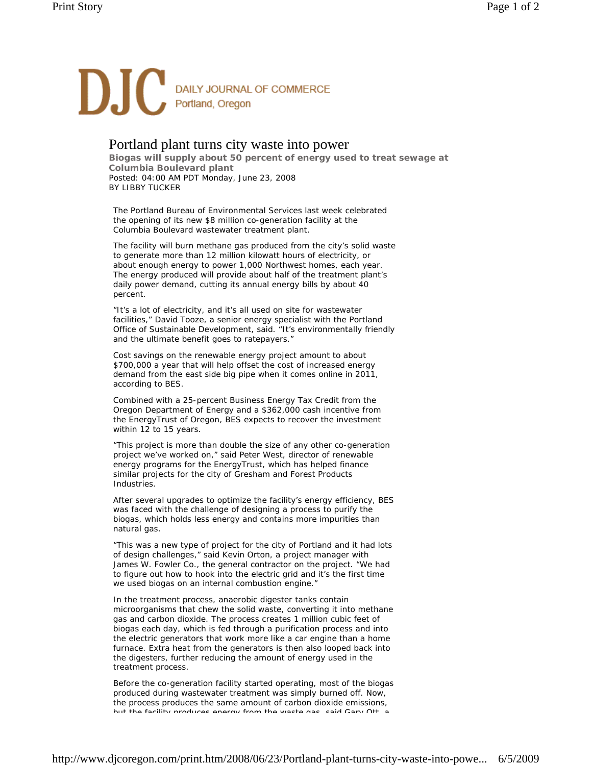

## Portland plant turns city waste into power

**Biogas will supply about 50 percent of energy used to treat sewage at Columbia Boulevard plant**  Posted: 04:00 AM PDT Monday, June 23, 2008 BY LIBBY TUCKER

The Portland Bureau of Environmental Services last week celebrated the opening of its new \$8 million co-generation facility at the Columbia Boulevard wastewater treatment plant.

The facility will burn methane gas produced from the city's solid waste to generate more than 12 million kilowatt hours of electricity, or about enough energy to power 1,000 Northwest homes, each year. The energy produced will provide about half of the treatment plant's daily power demand, cutting its annual energy bills by about 40 percent.

"It's a lot of electricity, and it's all used on site for wastewater facilities," David Tooze, a senior energy specialist with the Portland Office of Sustainable Development, said. "It's environmentally friendly and the ultimate benefit goes to ratepayers."

Cost savings on the renewable energy project amount to about \$700,000 a year that will help offset the cost of increased energy demand from the east side big pipe when it comes online in 2011, according to BES.

Combined with a 25-percent Business Energy Tax Credit from the Oregon Department of Energy and a \$362,000 cash incentive from the EnergyTrust of Oregon, BES expects to recover the investment within 12 to 15 years.

"This project is more than double the size of any other co-generation project we've worked on," said Peter West, director of renewable energy programs for the EnergyTrust, which has helped finance similar projects for the city of Gresham and Forest Products Industries.

After several upgrades to optimize the facility's energy efficiency, BES was faced with the challenge of designing a process to purify the biogas, which holds less energy and contains more impurities than natural gas.

"This was a new type of project for the city of Portland and it had lots of design challenges," said Kevin Orton, a project manager with James W. Fowler Co., the general contractor on the project. "We had to figure out how to hook into the electric grid and it's the first time we used biogas on an internal combustion engine."

In the treatment process, anaerobic digester tanks contain microorganisms that chew the solid waste, converting it into methane gas and carbon dioxide. The process creates 1 million cubic feet of biogas each day, which is fed through a purification process and into the electric generators that work more like a car engine than a home furnace. Extra heat from the generators is then also looped back into the digesters, further reducing the amount of energy used in the treatment process.

Before the co-generation facility started operating, most of the biogas produced during wastewater treatment was simply burned off. Now, the process produces the same amount of carbon dioxide emissions, but the facility produces energy from the waste gas said Gary Ott a